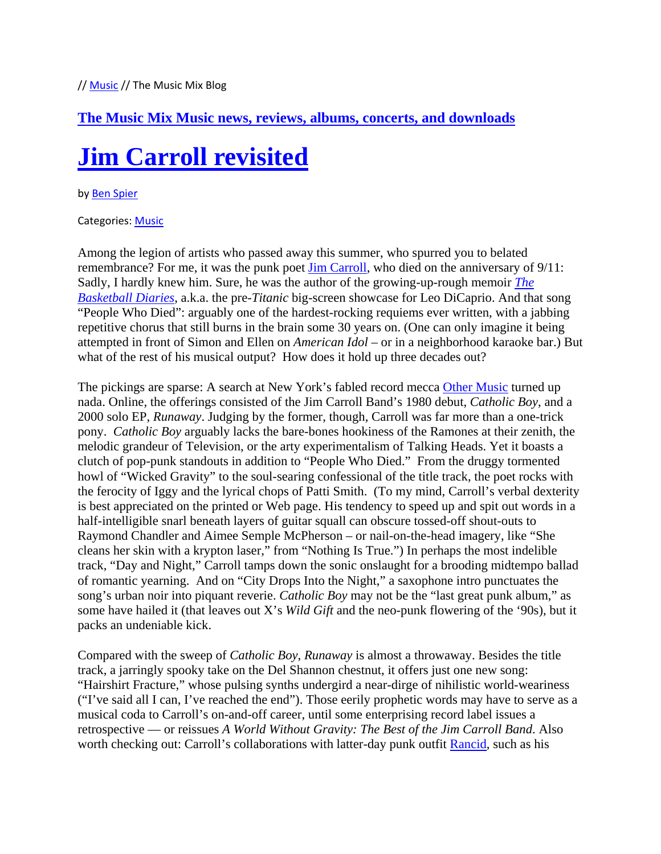### **The Music Mix Music news, reviews, albums, concerts, and downloads**

# **Jim Carroll revisited**

#### by Ben Spier

#### Categories: Music

Among the legion of artists who passed away this summer, who spurred you to belated remembrance? For me, it was the punk poet Jim Carroll, who died on the anniversary of  $9/11$ : Sadly, I hardly knew him. Sure, he was the author of the growing-up-rough memoir *The Basketball Diaries*, a.k.a. the pre-*Titanic* big-screen showcase for Leo DiCaprio. And that song "People Who Died": arguably one of the hardest-rocking requiems ever written, with a jabbing repetitive chorus that still burns in the brain some 30 years on. (One can only imagine it being attempted in front of Simon and Ellen on *American Idol* – or in a neighborhood karaoke bar.) But what of the rest of his musical output? How does it hold up three decades out?

The pickings are sparse: A search at New York's fabled record mecca Other Music turned up nada. Online, the offerings consisted of the Jim Carroll Band's 1980 debut, *Catholic Boy*, and a 2000 solo EP, *Runaway*. Judging by the former, though, Carroll was far more than a one-trick pony. *Catholic Boy* arguably lacks the bare-bones hookiness of the Ramones at their zenith, the melodic grandeur of Television, or the arty experimentalism of Talking Heads. Yet it boasts a clutch of pop-punk standouts in addition to "People Who Died." From the druggy tormented howl of "Wicked Gravity" to the soul-searing confessional of the title track, the poet rocks with the ferocity of Iggy and the lyrical chops of Patti Smith. (To my mind, Carroll's verbal dexterity is best appreciated on the printed or Web page. His tendency to speed up and spit out words in a half-intelligible snarl beneath layers of guitar squall can obscure tossed-off shout-outs to Raymond Chandler and Aimee Semple McPherson – or nail-on-the-head imagery, like "She cleans her skin with a krypton laser," from "Nothing Is True.") In perhaps the most indelible track, "Day and Night," Carroll tamps down the sonic onslaught for a brooding midtempo ballad of romantic yearning. And on "City Drops Into the Night," a saxophone intro punctuates the song's urban noir into piquant reverie. *Catholic Boy* may not be the "last great punk album," as some have hailed it (that leaves out X's *Wild Gift* and the neo-punk flowering of the '90s), but it packs an undeniable kick.

Compared with the sweep of *Catholic Boy*, *Runaway* is almost a throwaway. Besides the title track, a jarringly spooky take on the Del Shannon chestnut, it offers just one new song: "Hairshirt Fracture," whose pulsing synths undergird a near-dirge of nihilistic world-weariness ("I've said all I can, I've reached the end"). Those eerily prophetic words may have to serve as a musical coda to Carroll's on-and-off career, until some enterprising record label issues a retrospective — or reissues *A World Without Gravity: The Best of the Jim Carroll Band*. Also worth checking out: Carroll's collaborations with latter-day punk outfit Rancid, such as his